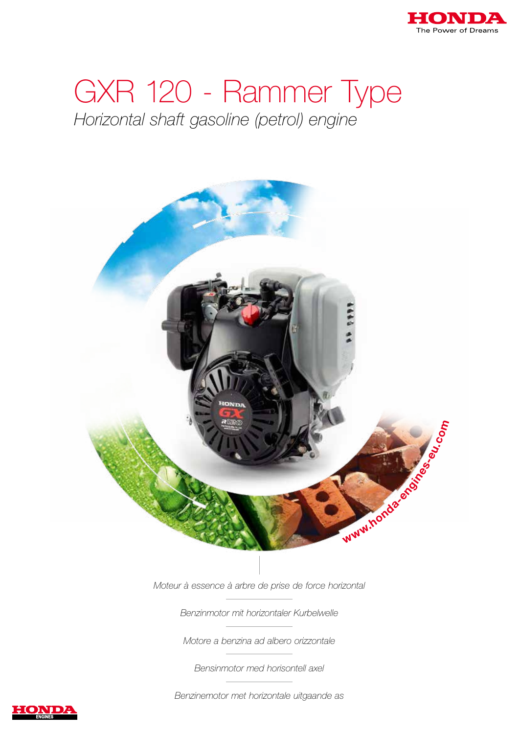

## GXR 120 - Rammer Type Horizontal shaft gasoline (petrol) engine



Moteur à essence à arbre de prise de force horizontal

Benzinmotor mit horizontaler Kurbelwelle

Motore a benzina ad albero orizzontale

Bensinmotor med horisontell axel

Benzinemotor met horizontale uitgaande as

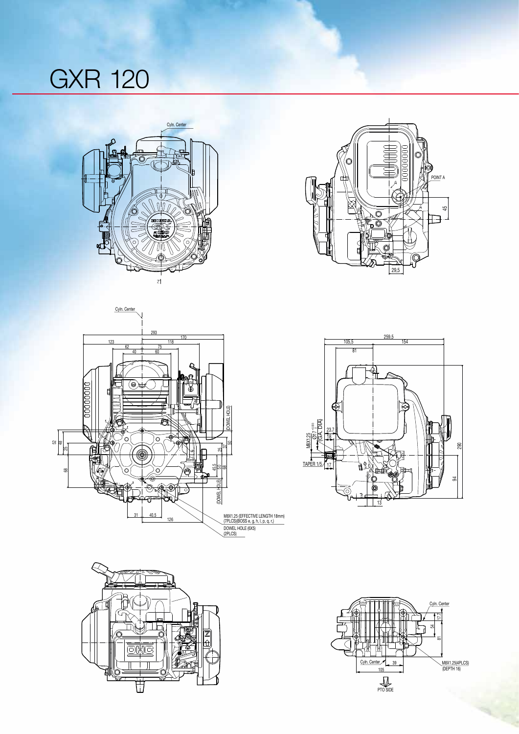# GXR 120











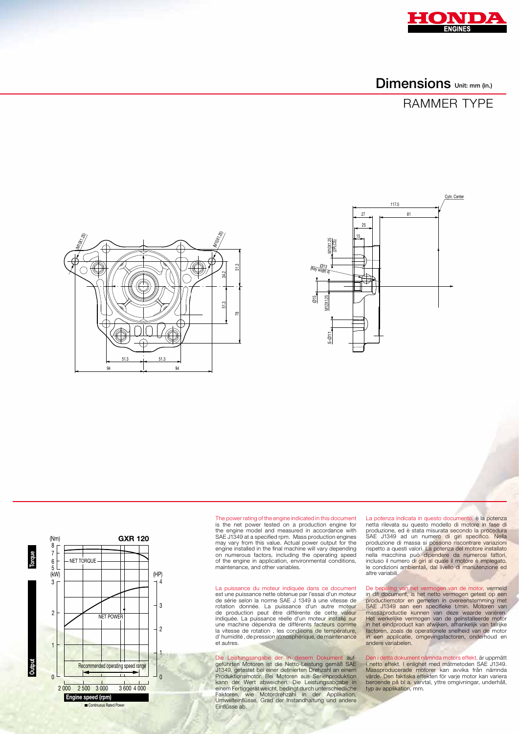

### Dimensions Unit: mm (in.)

### RAMMER TYPE







The power rating of the engine indicated in this document is the net power tested on a production engine for<br>the engine model and measured in accordance with<br>SAE J1349 at a specified rpm. Mass production engines<br>may vary from this value. Actual power output for the<br>engine install of the engine in application, environmental conditions, maintenance, and other variables.

La puissance du moteur indiquée dans ce document est une puissance nette obtenue par l'essai d'un moteur<br>de série selon la norme SAE J 1349 à une vitesse de<br>rotation donnée. La puissance d'un autre moteur<br>de production peut être différente de cette valeur indiquée. La puissance réelle d'un moteur installé sur une machine dépendra de différents facteurs comme la vitesse de rotation , les conditions de température, d' humidité , de pression atmosphérique, de maintenance et autres.

Die Leistungsangabe der in diesem Dokument auf-<br>geführten Motoren ist die Netto-Leistung gemäß SAE<br>J1349, getestet bei einer definierten Drehzahl an einem<br>Produktionsmotor. Bei Motoren aus Serienproduktion<br>kann der Wert ab Faktoren, wie Motordrehzahl in der Applikation, Umwelteinflüsse, Grad der Instandhaltung und andere Einflüsse ab.

La potenza indicata in questo documento, è la potenza netta rilevata su questo modello di motore in fase di<br>produzione, ed è stata misurata secondo la procedura<br>SAE J1349 ad un numero di giri specifico. Nella<br>produzione di massa si possono riscontrare variazioni<br>rispetto a qu altre variabili.

De bepaling van het vermogen van de motor, vermeld in dit document, is het netto vermogen getest op een productiemotor en gemeten in overeenstemming met<br>SAE J1349 aan een specifieke t/min. Motoren van<br>massaproductie kunnen van deze waarde variëren.<br>Het werkelijke vermogen van de geïnstalleerde motor<br>in het eindproduct kan af in een applicatie, omgevingsfactoren, onderhoud en andere variabelen.

Den i detta dokument nämnda motors effekt, är uppmätt<br>1 netto effekt. I enlighet med mätmetoden SAE J1349.<br>Massproducerade motorer kan avvika från nämnda<br>värde. Den faktiska effekten för varje motor kan variera<br>beroende på typ av applikation, mm.